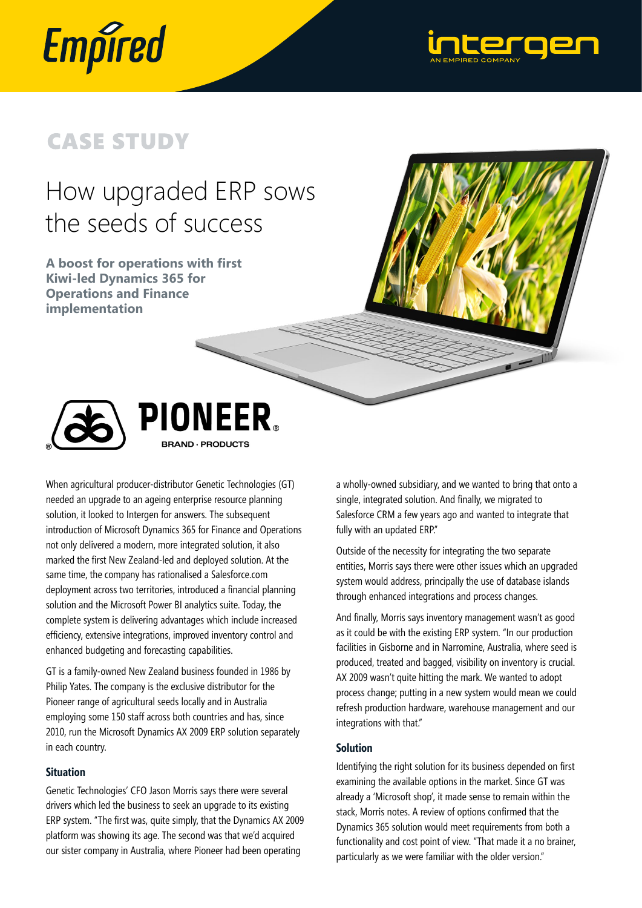



# **CASE STUDY**

# How upgraded ERP sows the seeds of success

**A boost for operations with first Kiwi-led Dynamics 365 for Operations and Finance implementation**



PIONEER。 **BRAND · PRODUCTS** 

When agricultural producer-distributor Genetic Technologies (GT) needed an upgrade to an ageing enterprise resource planning solution, it looked to Intergen for answers. The subsequent introduction of Microsoft Dynamics 365 for Finance and Operations not only delivered a modern, more integrated solution, it also marked the first New Zealand-led and deployed solution. At the same time, the company has rationalised a Salesforce.com deployment across two territories, introduced a financial planning solution and the Microsoft Power BI analytics suite. Today, the complete system is delivering advantages which include increased efficiency, extensive integrations, improved inventory control and enhanced budgeting and forecasting capabilities.

GT is a family-owned New Zealand business founded in 1986 by Philip Yates. The company is the exclusive distributor for the Pioneer range of agricultural seeds locally and in Australia employing some 150 staff across both countries and has, since 2010, run the Microsoft Dynamics AX 2009 ERP solution separately in each country.

# **Situation**

Genetic Technologies' CFO Jason Morris says there were several drivers which led the business to seek an upgrade to its existing ERP system. "The first was, quite simply, that the Dynamics AX 2009 platform was showing its age. The second was that we'd acquired our sister company in Australia, where Pioneer had been operating

a wholly-owned subsidiary, and we wanted to bring that onto a single, integrated solution. And finally, we migrated to Salesforce CRM a few years ago and wanted to integrate that fully with an updated ERP."

Outside of the necessity for integrating the two separate entities, Morris says there were other issues which an upgraded system would address, principally the use of database islands through enhanced integrations and process changes.

And finally, Morris says inventory management wasn't as good as it could be with the existing ERP system. "In our production facilities in Gisborne and in Narromine, Australia, where seed is produced, treated and bagged, visibility on inventory is crucial. AX 2009 wasn't quite hitting the mark. We wanted to adopt process change; putting in a new system would mean we could refresh production hardware, warehouse management and our integrations with that."

## **Solution**

Identifying the right solution for its business depended on first examining the available options in the market. Since GT was already a 'Microsoft shop', it made sense to remain within the stack, Morris notes. A review of options confirmed that the Dynamics 365 solution would meet requirements from both a functionality and cost point of view. "That made it a no brainer, particularly as we were familiar with the older version."